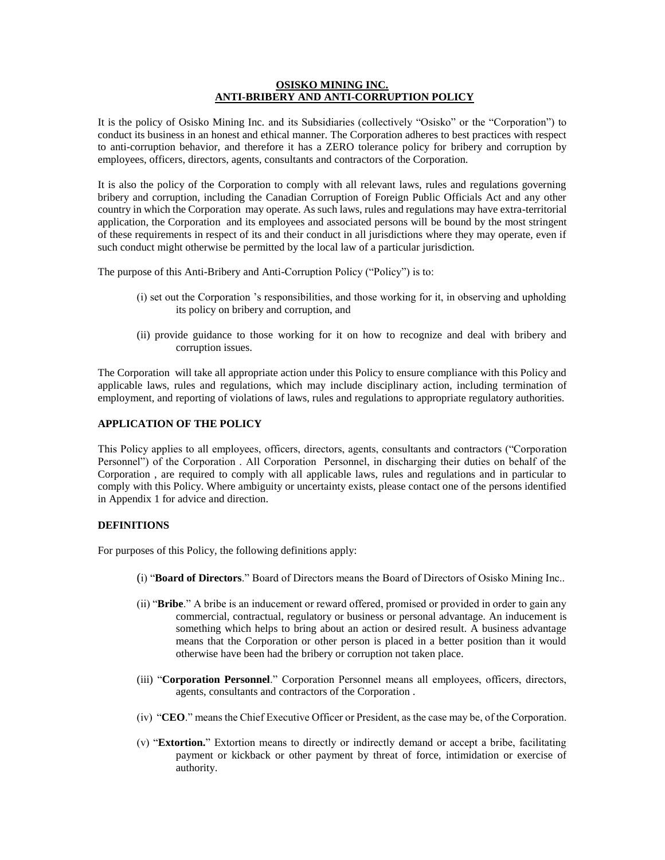### **OSISKO MINING INC. ANTI-BRIBERY AND ANTI-CORRUPTION POLICY**

It is the policy of Osisko Mining Inc. and its Subsidiaries (collectively "Osisko" or the "Corporation") to conduct its business in an honest and ethical manner. The Corporation adheres to best practices with respect to anti-corruption behavior, and therefore it has a ZERO tolerance policy for bribery and corruption by employees, officers, directors, agents, consultants and contractors of the Corporation.

It is also the policy of the Corporation to comply with all relevant laws, rules and regulations governing bribery and corruption, including the Canadian Corruption of Foreign Public Officials Act and any other country in which the Corporation may operate. As such laws, rules and regulations may have extra-territorial application, the Corporation and its employees and associated persons will be bound by the most stringent of these requirements in respect of its and their conduct in all jurisdictions where they may operate, even if such conduct might otherwise be permitted by the local law of a particular jurisdiction.

The purpose of this Anti-Bribery and Anti-Corruption Policy ("Policy") is to:

- (i) set out the Corporation 's responsibilities, and those working for it, in observing and upholding its policy on bribery and corruption, and
- (ii) provide guidance to those working for it on how to recognize and deal with bribery and corruption issues.

The Corporation will take all appropriate action under this Policy to ensure compliance with this Policy and applicable laws, rules and regulations, which may include disciplinary action, including termination of employment, and reporting of violations of laws, rules and regulations to appropriate regulatory authorities.

## **APPLICATION OF THE POLICY**

This Policy applies to all employees, officers, directors, agents, consultants and contractors ("Corporation Personnel") of the Corporation . All Corporation Personnel, in discharging their duties on behalf of the Corporation , are required to comply with all applicable laws, rules and regulations and in particular to comply with this Policy. Where ambiguity or uncertainty exists, please contact one of the persons identified in Appendix 1 for advice and direction.

### **DEFINITIONS**

For purposes of this Policy, the following definitions apply:

- (i) "**Board of Directors**." Board of Directors means the Board of Directors of Osisko Mining Inc..
- (ii) "**Bribe**." A bribe is an inducement or reward offered, promised or provided in order to gain any commercial, contractual, regulatory or business or personal advantage. An inducement is something which helps to bring about an action or desired result. A business advantage means that the Corporation or other person is placed in a better position than it would otherwise have been had the bribery or corruption not taken place.
- (iii) "**Corporation Personnel**." Corporation Personnel means all employees, officers, directors, agents, consultants and contractors of the Corporation .
- (iv) "**CEO**." means the Chief Executive Officer or President, as the case may be, of the Corporation.
- (v) "**Extortion.**" Extortion means to directly or indirectly demand or accept a bribe, facilitating payment or kickback or other payment by threat of force, intimidation or exercise of authority.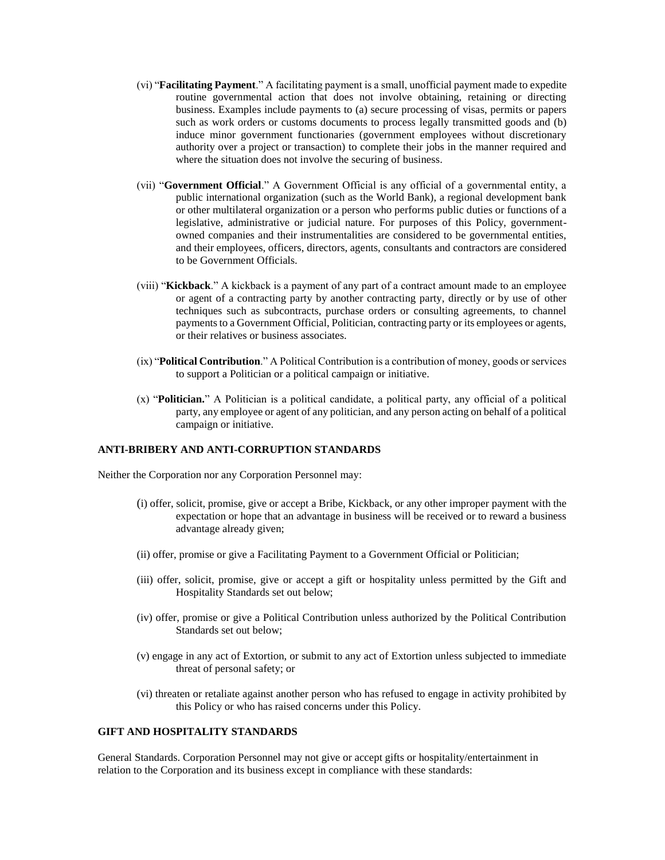- (vi) "**Facilitating Payment**." A facilitating payment is a small, unofficial payment made to expedite routine governmental action that does not involve obtaining, retaining or directing business. Examples include payments to (a) secure processing of visas, permits or papers such as work orders or customs documents to process legally transmitted goods and (b) induce minor government functionaries (government employees without discretionary authority over a project or transaction) to complete their jobs in the manner required and where the situation does not involve the securing of business.
- (vii) "**Government Official**." A Government Official is any official of a governmental entity, a public international organization (such as the World Bank), a regional development bank or other multilateral organization or a person who performs public duties or functions of a legislative, administrative or judicial nature. For purposes of this Policy, governmentowned companies and their instrumentalities are considered to be governmental entities, and their employees, officers, directors, agents, consultants and contractors are considered to be Government Officials.
- (viii) "**Kickback**." A kickback is a payment of any part of a contract amount made to an employee or agent of a contracting party by another contracting party, directly or by use of other techniques such as subcontracts, purchase orders or consulting agreements, to channel payments to a Government Official, Politician, contracting party or its employees or agents, or their relatives or business associates.
- (ix) "**Political Contribution**." A Political Contribution is a contribution of money, goods or services to support a Politician or a political campaign or initiative.
- (x) "**Politician.**" A Politician is a political candidate, a political party, any official of a political party, any employee or agent of any politician, and any person acting on behalf of a political campaign or initiative.

### **ANTI-BRIBERY AND ANTI-CORRUPTION STANDARDS**

Neither the Corporation nor any Corporation Personnel may:

- (i) offer, solicit, promise, give or accept a Bribe, Kickback, or any other improper payment with the expectation or hope that an advantage in business will be received or to reward a business advantage already given;
- (ii) offer, promise or give a Facilitating Payment to a Government Official or Politician;
- (iii) offer, solicit, promise, give or accept a gift or hospitality unless permitted by the Gift and Hospitality Standards set out below;
- (iv) offer, promise or give a Political Contribution unless authorized by the Political Contribution Standards set out below;
- (v) engage in any act of Extortion, or submit to any act of Extortion unless subjected to immediate threat of personal safety; or
- (vi) threaten or retaliate against another person who has refused to engage in activity prohibited by this Policy or who has raised concerns under this Policy.

## **GIFT AND HOSPITALITY STANDARDS**

General Standards. Corporation Personnel may not give or accept gifts or hospitality/entertainment in relation to the Corporation and its business except in compliance with these standards: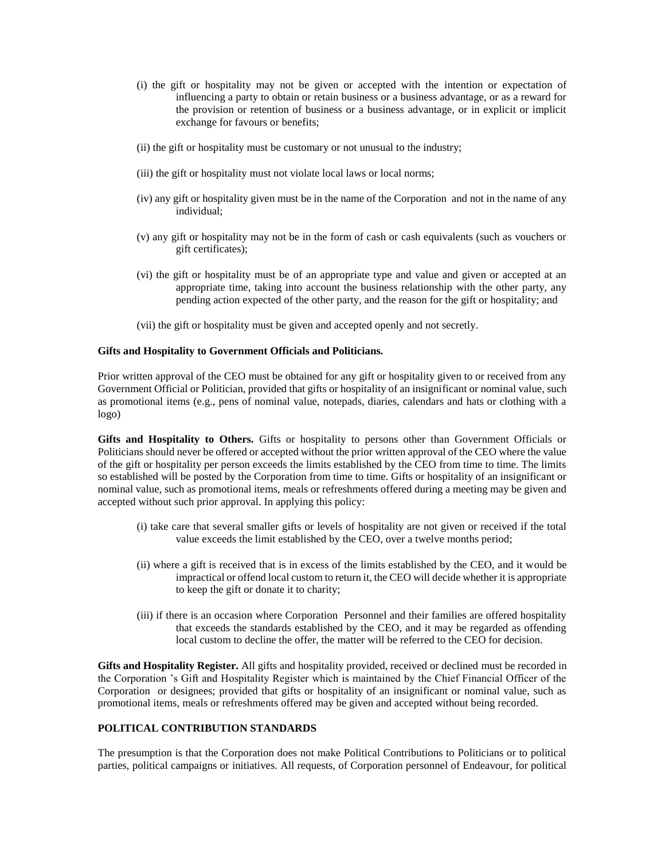- (i) the gift or hospitality may not be given or accepted with the intention or expectation of influencing a party to obtain or retain business or a business advantage, or as a reward for the provision or retention of business or a business advantage, or in explicit or implicit exchange for favours or benefits;
- (ii) the gift or hospitality must be customary or not unusual to the industry;
- (iii) the gift or hospitality must not violate local laws or local norms;
- (iv) any gift or hospitality given must be in the name of the Corporation and not in the name of any individual;
- (v) any gift or hospitality may not be in the form of cash or cash equivalents (such as vouchers or gift certificates);
- (vi) the gift or hospitality must be of an appropriate type and value and given or accepted at an appropriate time, taking into account the business relationship with the other party, any pending action expected of the other party, and the reason for the gift or hospitality; and
- (vii) the gift or hospitality must be given and accepted openly and not secretly.

#### **Gifts and Hospitality to Government Officials and Politicians.**

Prior written approval of the CEO must be obtained for any gift or hospitality given to or received from any Government Official or Politician, provided that gifts or hospitality of an insignificant or nominal value, such as promotional items (e.g., pens of nominal value, notepads, diaries, calendars and hats or clothing with a logo)

**Gifts and Hospitality to Others.** Gifts or hospitality to persons other than Government Officials or Politicians should never be offered or accepted without the prior written approval of the CEO where the value of the gift or hospitality per person exceeds the limits established by the CEO from time to time. The limits so established will be posted by the Corporation from time to time. Gifts or hospitality of an insignificant or nominal value, such as promotional items, meals or refreshments offered during a meeting may be given and accepted without such prior approval. In applying this policy:

- (i) take care that several smaller gifts or levels of hospitality are not given or received if the total value exceeds the limit established by the CEO, over a twelve months period;
- (ii) where a gift is received that is in excess of the limits established by the CEO, and it would be impractical or offend local custom to return it, the CEO will decide whether it is appropriate to keep the gift or donate it to charity;
- (iii) if there is an occasion where Corporation Personnel and their families are offered hospitality that exceeds the standards established by the CEO, and it may be regarded as offending local custom to decline the offer, the matter will be referred to the CEO for decision.

**Gifts and Hospitality Register.** All gifts and hospitality provided, received or declined must be recorded in the Corporation 's Gift and Hospitality Register which is maintained by the Chief Financial Officer of the Corporation or designees; provided that gifts or hospitality of an insignificant or nominal value, such as promotional items, meals or refreshments offered may be given and accepted without being recorded.

## **POLITICAL CONTRIBUTION STANDARDS**

The presumption is that the Corporation does not make Political Contributions to Politicians or to political parties, political campaigns or initiatives. All requests, of Corporation personnel of Endeavour, for political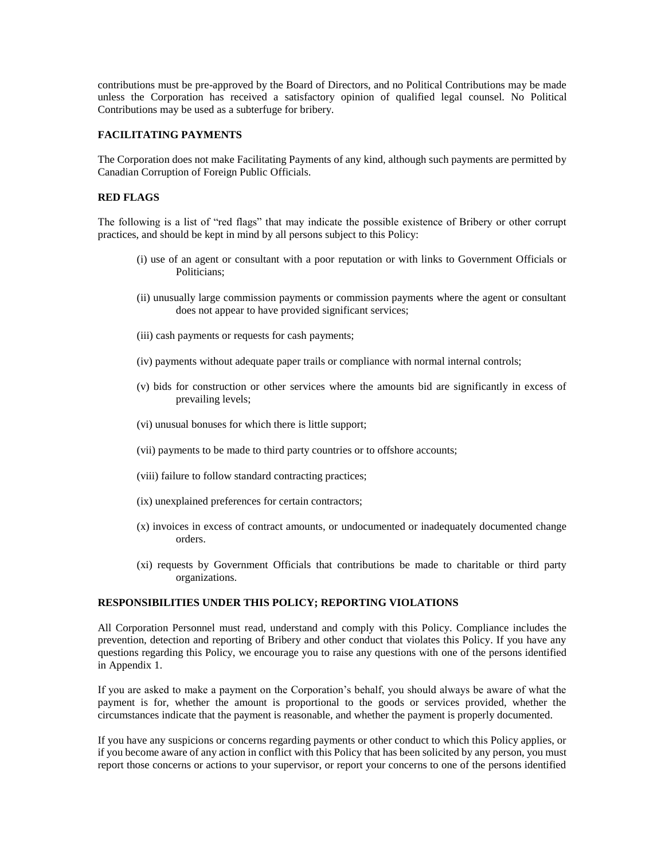contributions must be pre-approved by the Board of Directors, and no Political Contributions may be made unless the Corporation has received a satisfactory opinion of qualified legal counsel. No Political Contributions may be used as a subterfuge for bribery.

## **FACILITATING PAYMENTS**

The Corporation does not make Facilitating Payments of any kind, although such payments are permitted by Canadian Corruption of Foreign Public Officials.

## **RED FLAGS**

The following is a list of "red flags" that may indicate the possible existence of Bribery or other corrupt practices, and should be kept in mind by all persons subject to this Policy:

- (i) use of an agent or consultant with a poor reputation or with links to Government Officials or Politicians;
- (ii) unusually large commission payments or commission payments where the agent or consultant does not appear to have provided significant services;
- (iii) cash payments or requests for cash payments;
- (iv) payments without adequate paper trails or compliance with normal internal controls;
- (v) bids for construction or other services where the amounts bid are significantly in excess of prevailing levels;
- (vi) unusual bonuses for which there is little support;
- (vii) payments to be made to third party countries or to offshore accounts;
- (viii) failure to follow standard contracting practices;
- (ix) unexplained preferences for certain contractors;
- (x) invoices in excess of contract amounts, or undocumented or inadequately documented change orders.
- (xi) requests by Government Officials that contributions be made to charitable or third party organizations.

### **RESPONSIBILITIES UNDER THIS POLICY; REPORTING VIOLATIONS**

All Corporation Personnel must read, understand and comply with this Policy. Compliance includes the prevention, detection and reporting of Bribery and other conduct that violates this Policy. If you have any questions regarding this Policy, we encourage you to raise any questions with one of the persons identified in Appendix 1.

If you are asked to make a payment on the Corporation's behalf, you should always be aware of what the payment is for, whether the amount is proportional to the goods or services provided, whether the circumstances indicate that the payment is reasonable, and whether the payment is properly documented.

If you have any suspicions or concerns regarding payments or other conduct to which this Policy applies, or if you become aware of any action in conflict with this Policy that has been solicited by any person, you must report those concerns or actions to your supervisor, or report your concerns to one of the persons identified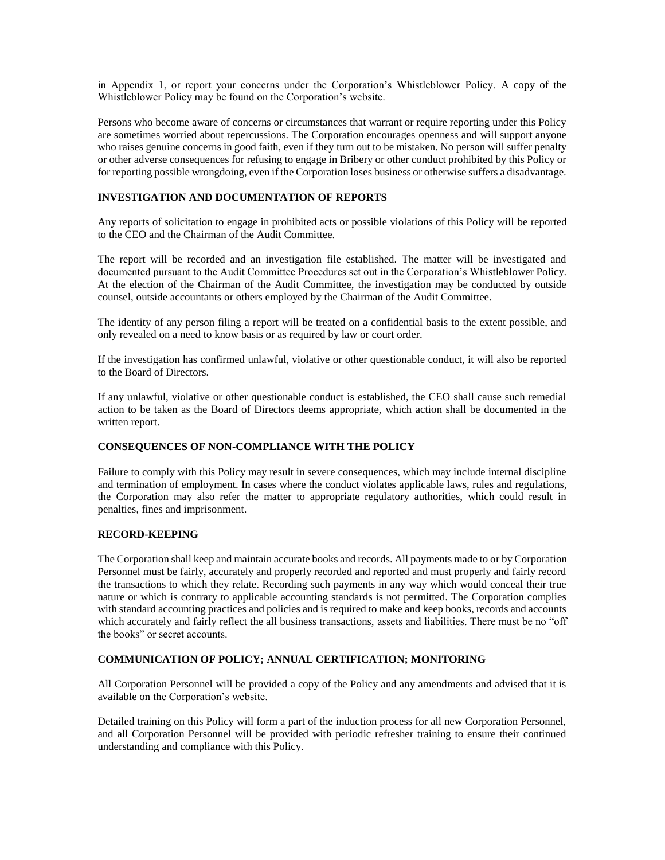in Appendix 1, or report your concerns under the Corporation's Whistleblower Policy. A copy of the Whistleblower Policy may be found on the Corporation's website.

Persons who become aware of concerns or circumstances that warrant or require reporting under this Policy are sometimes worried about repercussions. The Corporation encourages openness and will support anyone who raises genuine concerns in good faith, even if they turn out to be mistaken. No person will suffer penalty or other adverse consequences for refusing to engage in Bribery or other conduct prohibited by this Policy or for reporting possible wrongdoing, even if the Corporation loses business or otherwise suffers a disadvantage.

## **INVESTIGATION AND DOCUMENTATION OF REPORTS**

Any reports of solicitation to engage in prohibited acts or possible violations of this Policy will be reported to the CEO and the Chairman of the Audit Committee.

The report will be recorded and an investigation file established. The matter will be investigated and documented pursuant to the Audit Committee Procedures set out in the Corporation's Whistleblower Policy. At the election of the Chairman of the Audit Committee, the investigation may be conducted by outside counsel, outside accountants or others employed by the Chairman of the Audit Committee.

The identity of any person filing a report will be treated on a confidential basis to the extent possible, and only revealed on a need to know basis or as required by law or court order.

If the investigation has confirmed unlawful, violative or other questionable conduct, it will also be reported to the Board of Directors.

If any unlawful, violative or other questionable conduct is established, the CEO shall cause such remedial action to be taken as the Board of Directors deems appropriate, which action shall be documented in the written report.

## **CONSEQUENCES OF NON-COMPLIANCE WITH THE POLICY**

Failure to comply with this Policy may result in severe consequences, which may include internal discipline and termination of employment. In cases where the conduct violates applicable laws, rules and regulations, the Corporation may also refer the matter to appropriate regulatory authorities, which could result in penalties, fines and imprisonment.

## **RECORD-KEEPING**

The Corporation shall keep and maintain accurate books and records. All payments made to or by Corporation Personnel must be fairly, accurately and properly recorded and reported and must properly and fairly record the transactions to which they relate. Recording such payments in any way which would conceal their true nature or which is contrary to applicable accounting standards is not permitted. The Corporation complies with standard accounting practices and policies and is required to make and keep books, records and accounts which accurately and fairly reflect the all business transactions, assets and liabilities. There must be no "off the books" or secret accounts.

## **COMMUNICATION OF POLICY; ANNUAL CERTIFICATION; MONITORING**

All Corporation Personnel will be provided a copy of the Policy and any amendments and advised that it is available on the Corporation's website.

Detailed training on this Policy will form a part of the induction process for all new Corporation Personnel, and all Corporation Personnel will be provided with periodic refresher training to ensure their continued understanding and compliance with this Policy.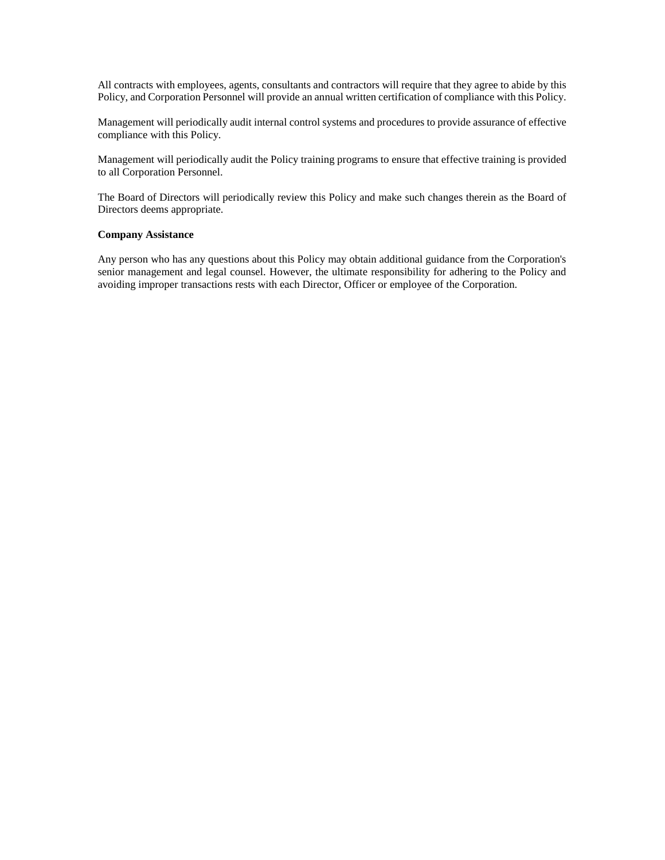All contracts with employees, agents, consultants and contractors will require that they agree to abide by this Policy, and Corporation Personnel will provide an annual written certification of compliance with this Policy.

Management will periodically audit internal control systems and procedures to provide assurance of effective compliance with this Policy.

Management will periodically audit the Policy training programs to ensure that effective training is provided to all Corporation Personnel.

The Board of Directors will periodically review this Policy and make such changes therein as the Board of Directors deems appropriate.

### **Company Assistance**

Any person who has any questions about this Policy may obtain additional guidance from the Corporation's senior management and legal counsel. However, the ultimate responsibility for adhering to the Policy and avoiding improper transactions rests with each Director, Officer or employee of the Corporation.